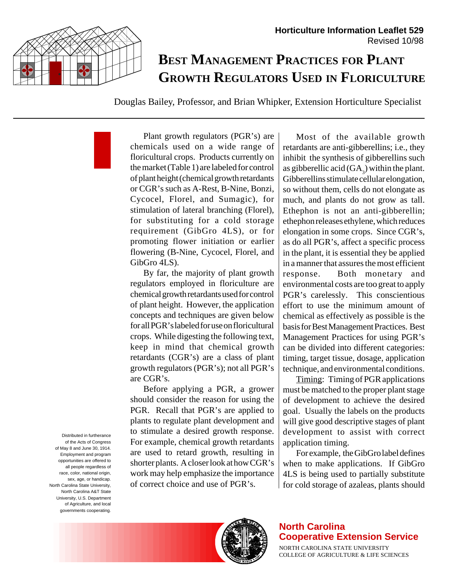

# **BEST MANAGEMENT PRACTICES FOR PLANT GROWTH REGULATORS USED IN FLORICULTURE**

Douglas Bailey, Professor, and Brian Whipker, Extension Horticulture Specialist

Plant growth regulators (PGR's) are chemicals used on a wide range of floricultural crops. Products currently on the market (Table 1) are labeled for control of plant height (chemical growth retardants or CGR's such as A-Rest, B-Nine, Bonzi, Cycocel, Florel, and Sumagic), for stimulation of lateral branching (Florel), for substituting for a cold storage requirement (GibGro 4LS), or for promoting flower initiation or earlier flowering (B-Nine, Cycocel, Florel, and GibGro 4LS).

By far, the majority of plant growth regulators employed in floriculture are chemical growth retardants used for control of plant height. However, the application concepts and techniques are given below for all PGR's labeled for use on floricultural crops. While digesting the following text, keep in mind that chemical growth retardants (CGR's) are a class of plant growth regulators (PGR's); not all PGR's are CGR's.

Before applying a PGR, a grower should consider the reason for using the PGR. Recall that PGR's are applied to plants to regulate plant development and to stimulate a desired growth response. For example, chemical growth retardants are used to retard growth, resulting in shorter plants. A closer look at how CGR's work may help emphasize the importance of correct choice and use of PGR's.

Most of the available growth retardants are anti-gibberellins; i.e., they inhibit the synthesis of gibberellins such as gibberellic acid  $(GA_3)$  within the plant. Gibberellins stimulate cellular elongation, so without them, cells do not elongate as much, and plants do not grow as tall. Ethephon is not an anti-gibberellin; ethephon releases ethylene, which reduces elongation in some crops. Since CGR's, as do all PGR's, affect a specific process in the plant, it is essential they be applied in a manner that assures the most efficient response. Both monetary and environmental costs are too great to apply PGR's carelessly. This conscientious effort to use the minimum amount of chemical as effectively as possible is the basis for Best Management Practices. Best Management Practices for using PGR's can be divided into different categories: timing, target tissue, dosage, application technique, and environmental conditions.

Timing: Timing of PGR applications must be matched to the proper plant stage of development to achieve the desired goal. Usually the labels on the products will give good descriptive stages of plant development to assist with correct application timing.

For example, the GibGro label defines when to make applications. If GibGro 4LS is being used to partially substitute for cold storage of azaleas, plants should

of the Acts of Congress of May 8 and June 30, 1914. Employment and program opportunities are offered to all people regardless of race, color, national origin, sex, age, or handicap. North Carolina State University, North Carolina A&T State University, U.S. Department of Agriculture, and local governments cooperating.

Distributed in furtherance



#### **North Carolina Cooperative Extension Service**

NORTH CAROLINA STATE UNIVERSITY COLLEGE OF AGRICULTURE & LIFE SCIENCES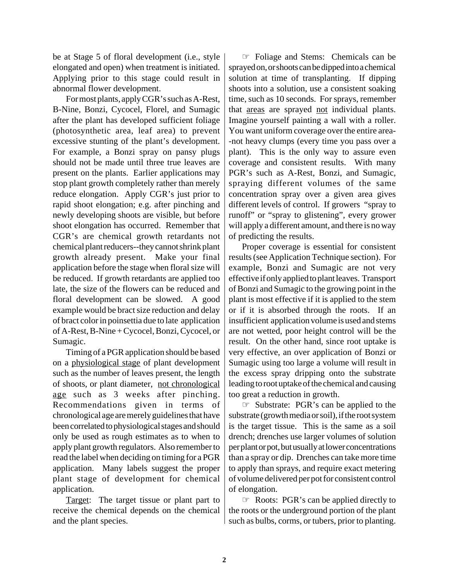be at Stage 5 of floral development (i.e., style elongated and open) when treatment is initiated. Applying prior to this stage could result in abnormal flower development.

For most plants, apply CGR's such as A-Rest, B-Nine, Bonzi, Cycocel, Florel, and Sumagic after the plant has developed sufficient foliage (photosynthetic area, leaf area) to prevent excessive stunting of the plant's development. For example, a Bonzi spray on pansy plugs should not be made until three true leaves are present on the plants. Earlier applications may stop plant growth completely rather than merely reduce elongation. Apply CGR's just prior to rapid shoot elongation; e.g. after pinching and newly developing shoots are visible, but before shoot elongation has occurred. Remember that CGR's are chemical growth retardants not chemical plant reducers--they cannot shrink plant growth already present. Make your final application before the stage when floral size will be reduced. If growth retardants are applied too late, the size of the flowers can be reduced and floral development can be slowed. A good example would be bract size reduction and delay of bract color in poinsettia due to late application of A-Rest, B-Nine + Cycocel, Bonzi, Cycocel, or Sumagic.

Timing of a PGR application should be based on a physiological stage of plant development such as the number of leaves present, the length of shoots, or plant diameter, not chronological age such as 3 weeks after pinching. Recommendations given in terms of chronological age are merely guidelines that have been correlated to physiological stages and should only be used as rough estimates as to when to apply plant growth regulators. Also remember to read the label when deciding on timing for a PGR application. Many labels suggest the proper plant stage of development for chemical application.

Target: The target tissue or plant part to receive the chemical depends on the chemical and the plant species.

☞ Foliage and Stems: Chemicals can be sprayed on, or shoots can be dipped into a chemical solution at time of transplanting. If dipping shoots into a solution, use a consistent soaking time, such as 10 seconds. For sprays, remember that areas are sprayed not individual plants. Imagine yourself painting a wall with a roller. You want uniform coverage over the entire area- -not heavy clumps (every time you pass over a plant). This is the only way to assure even coverage and consistent results. With many PGR's such as A-Rest, Bonzi, and Sumagic, spraying different volumes of the same concentration spray over a given area gives different levels of control. If growers "spray to runoff" or "spray to glistening", every grower will apply a different amount, and there is no way of predicting the results.

Proper coverage is essential for consistent results (see Application Technique section). For example, Bonzi and Sumagic are not very effective if only applied to plant leaves. Transport of Bonzi and Sumagic to the growing point in the plant is most effective if it is applied to the stem or if it is absorbed through the roots. If an insufficient application volume is used and stems are not wetted, poor height control will be the result. On the other hand, since root uptake is very effective, an over application of Bonzi or Sumagic using too large a volume will result in the excess spray dripping onto the substrate leading to root uptake of the chemical and causing too great a reduction in growth.

☞ Substrate: PGR's can be applied to the substrate (growth media or soil), if the root system is the target tissue. This is the same as a soil drench; drenches use larger volumes of solution per plant or pot, but usually at lower concentrations than a spray or dip. Drenches can take more time to apply than sprays, and require exact metering of volume delivered per pot for consistent control of elongation.

☞ Roots: PGR's can be applied directly to the roots or the underground portion of the plant such as bulbs, corms, or tubers, prior to planting.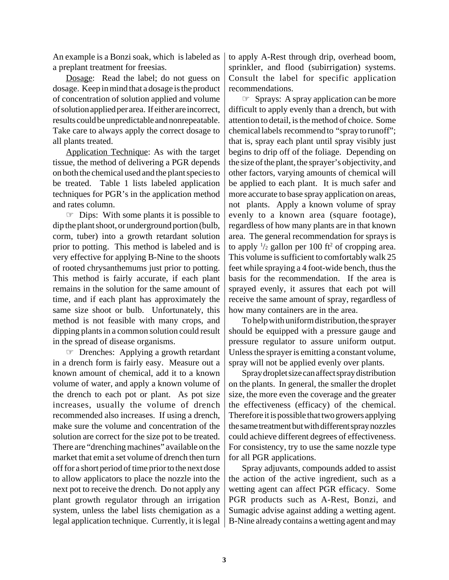An example is a Bonzi soak, which is labeled as a preplant treatment for freesias.

Dosage: Read the label; do not guess on dosage. Keep in mind that a dosage is the product of concentration of solution applied and volume of solution applied per area. If either are incorrect, results could be unpredictable and nonrepeatable. Take care to always apply the correct dosage to all plants treated.

Application Technique: As with the target tissue, the method of delivering a PGR depends on both the chemical used and the plant species to be treated. Table 1 lists labeled application techniques for PGR's in the application method and rates column.

☞ Dips: With some plants it is possible to dip the plant shoot, or underground portion (bulb, corm, tuber) into a growth retardant solution prior to potting. This method is labeled and is very effective for applying B-Nine to the shoots of rooted chrysanthemums just prior to potting. This method is fairly accurate, if each plant remains in the solution for the same amount of time, and if each plant has approximately the same size shoot or bulb. Unfortunately, this method is not feasible with many crops, and dipping plants in a common solution could result in the spread of disease organisms.

☞ Drenches: Applying a growth retardant in a drench form is fairly easy. Measure out a known amount of chemical, add it to a known volume of water, and apply a known volume of the drench to each pot or plant. As pot size increases, usually the volume of drench recommended also increases. If using a drench, make sure the volume and concentration of the solution are correct for the size pot to be treated. There are "drenching machines" available on the market that emit a set volume of drench then turn off for a short period of time prior to the next dose to allow applicators to place the nozzle into the next pot to receive the drench. Do not apply any plant growth regulator through an irrigation system, unless the label lists chemigation as a legal application technique. Currently, it is legal to apply A-Rest through drip, overhead boom, sprinkler, and flood (subirrigation) systems. Consult the label for specific application recommendations.

☞ Sprays: A spray application can be more difficult to apply evenly than a drench, but with attention to detail, is the method of choice. Some chemical labels recommend to "spray to runoff"; that is, spray each plant until spray visibly just begins to drip off of the foliage. Depending on the size of the plant, the sprayer's objectivity, and other factors, varying amounts of chemical will be applied to each plant. It is much safer and more accurate to base spray application on areas, not plants. Apply a known volume of spray evenly to a known area (square footage), regardless of how many plants are in that known area. The general recommendation for sprays is to apply  $\frac{1}{2}$  gallon per 100 ft<sup>2</sup> of cropping area. This volume is sufficient to comfortably walk 25 feet while spraying a 4 foot-wide bench, thus the basis for the recommendation. If the area is sprayed evenly, it assures that each pot will receive the same amount of spray, regardless of how many containers are in the area.

To help with uniform distribution, the sprayer should be equipped with a pressure gauge and pressure regulator to assure uniform output. Unless the sprayer is emitting a constant volume, spray will not be applied evenly over plants.

Spray droplet size can affect spray distribution on the plants. In general, the smaller the droplet size, the more even the coverage and the greater the effectiveness (efficacy) of the chemical. Therefore it is possible that two growers applying the same treatment but with different spray nozzles could achieve different degrees of effectiveness. For consistency, try to use the same nozzle type for all PGR applications.

Spray adjuvants, compounds added to assist the action of the active ingredient, such as a wetting agent can affect PGR efficacy. Some PGR products such as A-Rest, Bonzi, and Sumagic advise against adding a wetting agent. B-Nine already contains a wetting agent and may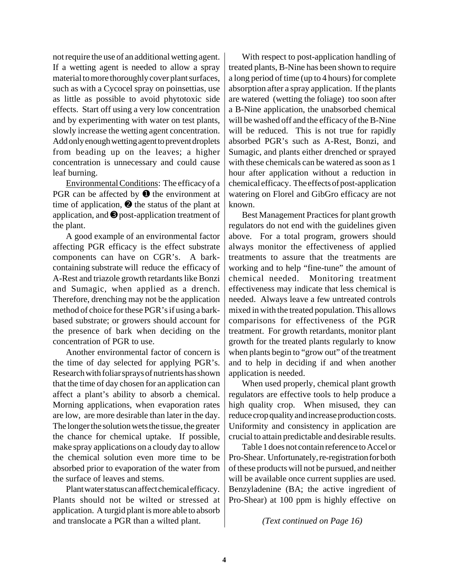not require the use of an additional wetting agent. If a wetting agent is needed to allow a spray material to more thoroughly cover plant surfaces, such as with a Cycocel spray on poinsettias, use as little as possible to avoid phytotoxic side effects. Start off using a very low concentration and by experimenting with water on test plants, slowly increase the wetting agent concentration. Add only enough wetting agent to prevent droplets from beading up on the leaves; a higher concentration is unnecessary and could cause leaf burning.

Environmental Conditions: The efficacy of a PGR can be affected by  $\bullet$  the environment at time of application,  $\Theta$  the status of the plant at application, and ➌ post-application treatment of the plant.

A good example of an environmental factor affecting PGR efficacy is the effect substrate components can have on CGR's. A barkcontaining substrate will reduce the efficacy of A-Rest and triazole growth retardants like Bonzi and Sumagic, when applied as a drench. Therefore, drenching may not be the application method of choice for these PGR's if using a barkbased substrate; or growers should account for the presence of bark when deciding on the concentration of PGR to use.

Another environmental factor of concern is the time of day selected for applying PGR's. Research with foliar sprays of nutrients has shown that the time of day chosen for an application can affect a plant's ability to absorb a chemical. Morning applications, when evaporation rates are low, are more desirable than later in the day. The longer the solution wets the tissue, the greater the chance for chemical uptake. If possible, make spray applications on a cloudy day to allow the chemical solution even more time to be absorbed prior to evaporation of the water from the surface of leaves and stems.

Plant water status can affect chemical efficacy. Plants should not be wilted or stressed at application. A turgid plant is more able to absorb and translocate a PGR than a wilted plant.

With respect to post-application handling of treated plants, B-Nine has been shown to require a long period of time (up to 4 hours) for complete absorption after a spray application. If the plants are watered (wetting the foliage) too soon after a B-Nine application, the unabsorbed chemical will be washed off and the efficacy of the B-Nine will be reduced. This is not true for rapidly absorbed PGR's such as A-Rest, Bonzi, and Sumagic, and plants either drenched or sprayed with these chemicals can be watered as soon as 1 hour after application without a reduction in chemical efficacy. The effects of post-application watering on Florel and GibGro efficacy are not known.

Best Management Practices for plant growth regulators do not end with the guidelines given above. For a total program, growers should always monitor the effectiveness of applied treatments to assure that the treatments are working and to help "fine-tune" the amount of chemical needed. Monitoring treatment effectiveness may indicate that less chemical is needed. Always leave a few untreated controls mixed in with the treated population. This allows comparisons for effectiveness of the PGR treatment. For growth retardants, monitor plant growth for the treated plants regularly to know when plants begin to "grow out" of the treatment and to help in deciding if and when another application is needed.

When used properly, chemical plant growth regulators are effective tools to help produce a high quality crop. When misused, they can reduce crop quality and increase production costs. Uniformity and consistency in application are crucial to attain predictable and desirable results.

Table 1 does not contain reference to Accel or Pro-Shear. Unfortunately, re-registration for both of these products will not be pursued, and neither will be available once current supplies are used. Benzyladenine (BA; the active ingredient of Pro-Shear) at 100 ppm is highly effective on

*(Text continued on Page 16)*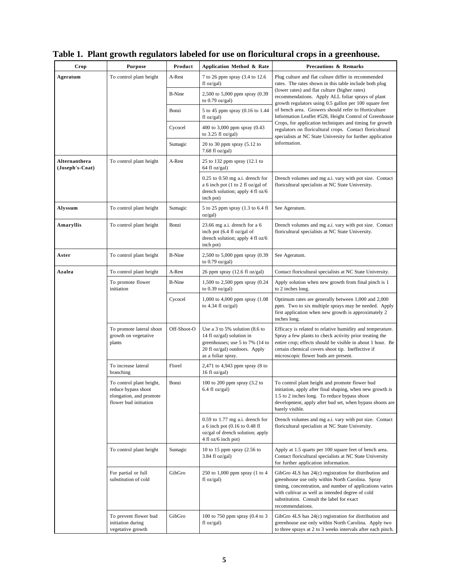| Crop                             | <b>Purpose</b>                                                                                      | Product       | Application Method & Rate                                                                                                                                           | <b>Precautions &amp; Remarks</b>                                                                                                                                                                                                                                                            |
|----------------------------------|-----------------------------------------------------------------------------------------------------|---------------|---------------------------------------------------------------------------------------------------------------------------------------------------------------------|---------------------------------------------------------------------------------------------------------------------------------------------------------------------------------------------------------------------------------------------------------------------------------------------|
| Ageratum                         | To control plant height                                                                             | A-Rest        | 7 to 26 ppm spray (3.4 to 12.6<br>fl oz/gal)                                                                                                                        | Plug culture and flat culture differ in recommended<br>rates. The rates shown in this table include both plug                                                                                                                                                                               |
|                                  |                                                                                                     | <b>B-Nine</b> | 2,500 to 5,000 ppm spray (0.39<br>to $0.79$ oz/gal)                                                                                                                 | (lower rates) and flat culture (higher rates)<br>recommendations. Apply ALL foliar sprays of plant<br>growth regulators using 0.5 gallon per 100 square feet                                                                                                                                |
|                                  |                                                                                                     | Bonzi         | 5 to 45 ppm spray (0.16 to 1.44<br>fl oz/gal)                                                                                                                       | of bench area. Growers should refer to Horticulture<br>Information Leaflet #528, Height Control of Greenhouse                                                                                                                                                                               |
|                                  |                                                                                                     | Cycocel       | 400 to 3,000 ppm spray (0.43<br>to $3.25$ fl oz/gal)                                                                                                                | Crops, for application techniques and timing for growth<br>regulators on floricultural crops. Contact floricultural<br>specialists at NC State University for further application                                                                                                           |
|                                  |                                                                                                     | Sumagic       | 20 to 30 ppm spray $(5.12 \text{ to }$<br>7.68 fl oz/gal)                                                                                                           | information.                                                                                                                                                                                                                                                                                |
| Alternanthera<br>(Joseph's-Coat) | To control plant height                                                                             | A-Rest        | 25 to 132 ppm spray (12.1 to<br>64 fl oz/gal)                                                                                                                       |                                                                                                                                                                                                                                                                                             |
|                                  |                                                                                                     |               | $0.25$ to $0.50$ mg a.i. drench for<br>a 6 inch pot (1 to 2 fl oz/gal of<br>drench solution; apply 4 fl oz/6<br>inch pot)                                           | Drench volumes and mg a.i. vary with pot size. Contact<br>floricultural specialists at NC State University.                                                                                                                                                                                 |
| Alyssum                          | To control plant height                                                                             | Sumagic       | 5 to 25 ppm spray (1.3 to 6.4 fl<br>oz/gal)                                                                                                                         | See Ageratum.                                                                                                                                                                                                                                                                               |
| Amaryllis                        | To control plant height                                                                             | Bonzi         | $23.66$ mg a.i. drench for a 6<br>inch pot (6.4 fl oz/gal of<br>drench solution; apply 4 fl oz/6<br>inch pot)                                                       | Drench volumes and mg a.i. vary with pot size. Contact<br>floricultural specialists at NC State University.                                                                                                                                                                                 |
| Aster                            | To control plant height                                                                             | <b>B-Nine</b> | 2,500 to 5,000 ppm spray (0.39<br>to $0.79$ oz/gal)                                                                                                                 | See Ageratum.                                                                                                                                                                                                                                                                               |
| Azalea                           | To control plant height                                                                             | A-Rest        | 26 ppm spray $(12.6 \text{ fl oz/gal})$                                                                                                                             | Contact floricultural specialists at NC State University.                                                                                                                                                                                                                                   |
|                                  | To promote flower<br>initiation                                                                     | <b>B-Nine</b> | 1,500 to 2,500 ppm spray (0.24<br>to $0.39$ oz/gal)                                                                                                                 | Apply solution when new growth from final pinch is 1<br>to 2 inches long.                                                                                                                                                                                                                   |
|                                  |                                                                                                     | Cycocel       | 1,000 to 4,000 ppm spray (1.08)<br>to $4.34$ fl oz/gal)                                                                                                             | Optimum rates are generally between 1,000 and 2,000<br>ppm. Two to six multiple sprays may be needed. Apply<br>first application when new growth is approximately 2<br>inches long.                                                                                                         |
|                                  | To promote lateral shoot<br>growth on vegetative<br>plants                                          | Off-Shoot-O   | Use a 3 to 5% solution $(8.6 \text{ to } 5)$<br>14 fl oz/gal) solution in<br>greenhouses; use 5 to 7% (14 to<br>20 fl oz/gal) outdoors. Apply<br>as a foliar spray. | Efficacy is related to relative humidity and temperature.<br>Spray a few plants to check activity prior treating the<br>entire crop; effects should be visible in about 1 hour. Be<br>certain chemical covers shoot tip. Ineffective if<br>microscopic flower buds are present.             |
|                                  | To increase lateral<br>branching                                                                    | Florel        | 2,471 to 4,943 ppm spray (8 to<br>16 fl $oz/gal$ )                                                                                                                  |                                                                                                                                                                                                                                                                                             |
|                                  | To control plant height,<br>reduce bypass shoot<br>elongation, and promote<br>flower bud initiation | Bonzi         | 100 to 200 ppm spray (3.2 to<br>$6.4$ fl oz/gal)                                                                                                                    | To control plant height and promote flower bud<br>initiation, apply after final shaping, when new growth is<br>1.5 to 2 inches long. To reduce bypass shoot<br>development, apply after bud set, when bypass shoots are<br>barely visible.                                                  |
|                                  |                                                                                                     |               | $0.59$ to 1.77 mg a.i. drench for<br>a 6 inch pot (0.16 to 0.48 fl<br>oz/gal of drench solution; apply<br>4 fl oz/6 inch pot)                                       | Drench volumes and mg a.i. vary with pot size. Contact<br>floricultural specialists at NC State University.                                                                                                                                                                                 |
|                                  | To control plant height                                                                             | Sumagic       | 10 to 15 ppm spray (2.56 to<br>$3.84$ fl oz/gal)                                                                                                                    | Apply at 1.5 quarts per 100 square feet of bench area.<br>Contact floricultural specialists at NC State University<br>for further application information.                                                                                                                                  |
|                                  | For partial or full<br>substitution of cold                                                         | GibGro        | 250 to 1,000 ppm spray (1 to 4<br>fl oz/gal)                                                                                                                        | GibGro 4LS has 24(c) registration for distribution and<br>greenhouse use only within North Carolina. Spray<br>timing, concentration, and number of applications varies<br>with cultivar as well as intended degree of cold<br>substitution. Consult the label for exact<br>recommendations. |
|                                  | To prevent flower bud<br>initiation during<br>vegetative growth                                     | GibGro        | 100 to 750 ppm spray (0.4 to 3)<br>fl oz/gal)                                                                                                                       | GibGro 4LS has 24(c) registration for distribution and<br>greenhouse use only within North Carolina. Apply two<br>to three sprays at 2 to 3 weeks intervals after each pinch.                                                                                                               |

# **Table 1. Plant growth regulators labeled for use on floricultural crops in a greenhouse.**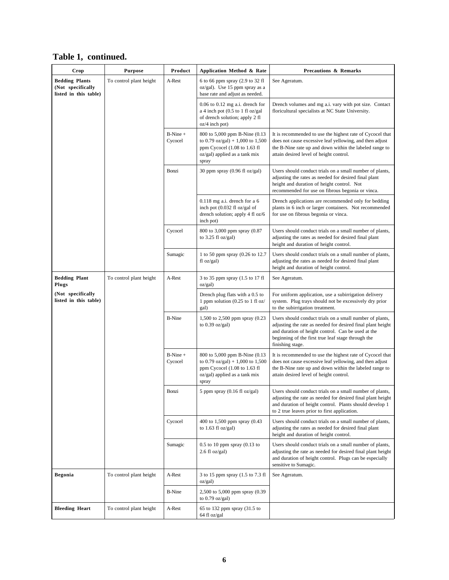| Crop                                                                | <b>Purpose</b>          | Product               | Application Method & Rate                                                                                                                    | <b>Precautions &amp; Remarks</b>                                                                                                                                                                                                                        |
|---------------------------------------------------------------------|-------------------------|-----------------------|----------------------------------------------------------------------------------------------------------------------------------------------|---------------------------------------------------------------------------------------------------------------------------------------------------------------------------------------------------------------------------------------------------------|
| <b>Bedding Plants</b><br>(Not specifically<br>listed in this table) | To control plant height | A-Rest                | 6 to 66 ppm spray (2.9 to 32 fl<br>oz/gal). Use 15 ppm spray as a<br>base rate and adjust as needed.                                         | See Ageratum.                                                                                                                                                                                                                                           |
|                                                                     |                         |                       | $0.06$ to $0.12$ mg a.i. drench for<br>a 4 inch pot $(0.5$ to 1 fl oz/gal<br>of drench solution; apply 2 fl<br>$oz/4$ inch pot)              | Drench volumes and mg a.i. vary with pot size. Contact<br>floricultural specialists at NC State University.                                                                                                                                             |
|                                                                     |                         | $B-Nine +$<br>Cycocel | 800 to 5,000 ppm B-Nine (0.13)<br>to 0.79 oz/gal) + 1,000 to 1,500<br>ppm Cycocel (1.08 to 1.63 fl<br>oz/gal) applied as a tank mix<br>spray | It is recommended to use the highest rate of Cycocel that<br>does not cause excessive leaf yellowing, and then adjust<br>the B-Nine rate up and down within the labeled range to<br>attain desired level of height control.                             |
|                                                                     |                         | Bonzi                 | 30 ppm spray (0.96 fl oz/gal)                                                                                                                | Users should conduct trials on a small number of plants,<br>adjusting the rates as needed for desired final plant<br>height and duration of height control. Not<br>recommended for use on fibrous begonia or vinca.                                     |
|                                                                     |                         |                       | $0.118$ mg a.i. drench for a 6<br>inch pot (0.032 fl oz/gal of<br>drench solution; apply 4 fl oz/6<br>inch pot)                              | Drench applications are recommended only for bedding<br>plants in 6 inch or larger containers. Not recommended<br>for use on fibrous begonia or vinca.                                                                                                  |
|                                                                     |                         | Cycocel               | 800 to 3,000 ppm spray (0.87<br>to $3.25$ fl oz/gal)                                                                                         | Users should conduct trials on a small number of plants,<br>adjusting the rates as needed for desired final plant<br>height and duration of height control.                                                                                             |
|                                                                     |                         | Sumagic               | 1 to 50 ppm spray (0.26 to 12.7)<br>fl oz/gal)                                                                                               | Users should conduct trials on a small number of plants,<br>adjusting the rates as needed for desired final plant<br>height and duration of height control.                                                                                             |
| <b>Bedding Plant</b><br>Plugs                                       | To control plant height | A-Rest                | 3 to 35 ppm spray (1.5 to 17 fl<br>oz/gal)                                                                                                   | See Ageratum.                                                                                                                                                                                                                                           |
| (Not specifically<br>listed in this table)                          |                         |                       | Drench plug flats with a 0.5 to<br>1 ppm solution $(0.25$ to 1 fl oz/<br>gal)                                                                | For uniform application, use a subirrigation delivery<br>system. Plug trays should not be excessively dry prior<br>to the subirrigation treatment.                                                                                                      |
|                                                                     |                         | <b>B-Nine</b>         | 1,500 to 2,500 ppm spray (0.23<br>to $0.39$ oz/gal)                                                                                          | Users should conduct trials on a small number of plants,<br>adjusting the rate as needed for desired final plant height<br>and duration of height control. Can be used at the<br>beginning of the first true leaf stage through the<br>finishing stage. |
|                                                                     |                         | $B-Nine +$<br>Cycocel | 800 to 5,000 ppm B-Nine (0.13)<br>to 0.79 oz/gal) + 1,000 to 1,500<br>ppm Cycocel (1.08 to 1.63 fl<br>oz/gal) applied as a tank mix<br>spray | It is recommended to use the highest rate of Cycocel that<br>does not cause excessive leaf yellowing, and then adjust<br>the B-Nine rate up and down within the labeled range to<br>attain desired level of height control.                             |
|                                                                     |                         | Bonzi                 | $5$ ppm spray (0.16 fl oz/gal)                                                                                                               | Users should conduct trials on a small number of plants,<br>adjusting the rate as needed for desired final plant height<br>and duration of height control. Plants should develop 1<br>to 2 true leaves prior to first application.                      |
|                                                                     |                         | Cycocel               | 400 to 1,500 ppm spray (0.43<br>to $1.63$ fl oz/gal)                                                                                         | Users should conduct trials on a small number of plants,<br>adjusting the rates as needed for desired final plant<br>height and duration of height control.                                                                                             |
|                                                                     |                         | Sumagic               | $0.5$ to 10 ppm spray $(0.13$ to<br>$2.6 \text{ fl oz/gal}$                                                                                  | Users should conduct trials on a small number of plants,<br>adjusting the rate as needed for desired final plant height<br>and duration of height control. Plugs can be especially<br>sensitive to Sumagic.                                             |
| <b>Begonia</b>                                                      | To control plant height | A-Rest                | 3 to 15 ppm spray (1.5 to 7.3 fl<br>oz/gal)                                                                                                  | See Ageratum.                                                                                                                                                                                                                                           |
|                                                                     |                         | <b>B-Nine</b>         | 2,500 to 5,000 ppm spray (0.39<br>to $0.79$ oz/gal)                                                                                          |                                                                                                                                                                                                                                                         |
| <b>Bleeding Heart</b>                                               | To control plant height | A-Rest                | 65 to 132 ppm spray (31.5 to<br>64 fl oz/gal                                                                                                 |                                                                                                                                                                                                                                                         |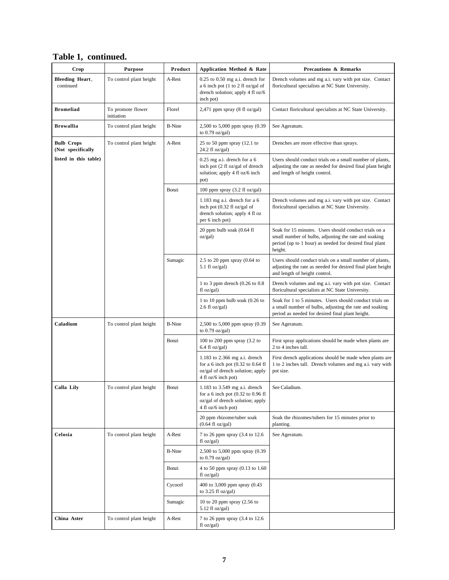| Crop                                   | <b>Purpose</b>                  | Product       | Application Method & Rate                                                                                                         | <b>Precautions &amp; Remarks</b>                                                                                                                                                     |
|----------------------------------------|---------------------------------|---------------|-----------------------------------------------------------------------------------------------------------------------------------|--------------------------------------------------------------------------------------------------------------------------------------------------------------------------------------|
| <b>Bleeding Heart,</b><br>continued    | To control plant height         | A-Rest        | $0.25$ to $0.50$ mg a.i. drench for<br>a 6 inch pot (1 to 2 fl oz/gal of<br>drench solution; apply 4 fl oz/6<br>inch pot)         | Drench volumes and mg a.i. vary with pot size. Contact<br>floricultural specialists at NC State University.                                                                          |
| <b>Bromeliad</b>                       | To promote flower<br>initiation | Florel        | $2,471$ ppm spray (8 fl oz/gal)                                                                                                   | Contact floricultural specialists at NC State University.                                                                                                                            |
| <b>Browallia</b>                       | To control plant height         | <b>B-Nine</b> | 2,500 to 5,000 ppm spray (0.39<br>to $0.79$ oz/gal)                                                                               | See Ageratum.                                                                                                                                                                        |
| <b>Bulb Crops</b><br>(Not specifically | To control plant height         | A-Rest        | 25 to 50 ppm spray $(12.1)$ to<br>$24.2$ fl oz/gal)                                                                               | Drenches are more effective than sprays.                                                                                                                                             |
| listed in this table)                  |                                 |               | $0.25$ mg a.i. drench for a 6<br>inch pot (2 fl oz/gal of drench<br>solution; apply 4 fl oz/6 inch<br>pot)                        | Users should conduct trials on a small number of plants,<br>adjusting the rate as needed for desired final plant height<br>and length of height control.                             |
|                                        |                                 | Bonzi         | 100 ppm spray $(3.2 \text{ fl oz/gal})$                                                                                           |                                                                                                                                                                                      |
|                                        |                                 |               | 1.183 mg a.i. drench for a $6$<br>inch pot $(0.32 \text{ fl oz/gal of})$<br>drench solution; apply 4 fl oz<br>per 6 inch pot)     | Drench volumes and mg a.i. vary with pot size. Contact<br>floricultural specialists at NC State University.                                                                          |
|                                        |                                 |               | 20 ppm bulb soak (0.64 fl<br>oz/gal)                                                                                              | Soak for 15 minutes. Users should conduct trials on a<br>small number of bulbs, adjusting the rate and soaking<br>period (up to 1 hour) as needed for desired final plant<br>height. |
|                                        |                                 | Sumagic       | 2.5 to 20 ppm spray $(0.64)$ to<br>5.1 fl $oz/gal$ )                                                                              | Users should conduct trials on a small number of plants,<br>adjusting the rate as needed for desired final plant height<br>and length of height control.                             |
|                                        |                                 |               | 1 to 3 ppm drench $(0.26 \text{ to } 0.8)$<br>fl oz/gal)                                                                          | Drench volumes and mg a.i. vary with pot size. Contact<br>floricultural specialists at NC State University.                                                                          |
|                                        |                                 |               | 1 to 10 ppm bulb soak (0.26 to<br>$2.6 \text{ fl oz/gal}$                                                                         | Soak for 1 to 5 minutes. Users should conduct trials on<br>a small number of bulbs, adjusting the rate and soaking<br>period as needed for desired final plant height.               |
| Caladium                               | To control plant height         | <b>B-Nine</b> | 2,500 to 5,000 ppm spray (0.39<br>to $0.79$ oz/gal)                                                                               | See Ageratum.                                                                                                                                                                        |
|                                        |                                 | Bonzi         | 100 to 200 ppm spray $(3.2 \text{ to }$<br>$6.4$ fl oz/gal)                                                                       | First spray applications should be made when plants are<br>2 to 4 inches tall.                                                                                                       |
|                                        |                                 |               | 1.183 to 2.366 mg a.i. drench<br>for a 6 inch pot $(0.32$ to $0.64$ fl<br>oz/gal of drench solution; apply<br>4 fl oz/6 inch pot) | First drench applications should be made when plants are<br>1 to 2 inches tall. Drench volumes and mg a.i. vary with<br>pot size.                                                    |
| Calla Lily                             | To control plant height         | Bonzi         | 1.183 to 3.549 mg a.i. drench<br>for a 6 inch pot $(0.32$ to $0.96$ fl<br>oz/gal of drench solution; apply<br>4 fl oz/6 inch pot) | See Caladium.                                                                                                                                                                        |
|                                        |                                 |               | 20 ppm rhizome/tuber soak<br>$(0.64 \text{ fl oz/gal})$                                                                           | Soak the rhizomes/tubers for 15 minutes prior to<br>planting.                                                                                                                        |
| Celosia                                | To control plant height         | A-Rest        | 7 to 26 ppm spray (3.4 to 12.6)<br>fl oz/gal)                                                                                     | See Ageratum.                                                                                                                                                                        |
|                                        |                                 | <b>B-Nine</b> | 2,500 to 5,000 ppm spray (0.39<br>to $0.79$ oz/gal)                                                                               |                                                                                                                                                                                      |
|                                        |                                 | Bonzi         | 4 to 50 ppm spray (0.13 to 1.60<br>fl oz/gal)                                                                                     |                                                                                                                                                                                      |
|                                        |                                 | Cycocel       | 400 to 3,000 ppm spray (0.43<br>to $3.25$ fl oz/gal)                                                                              |                                                                                                                                                                                      |
|                                        |                                 | Sumagic       | 10 to 20 ppm spray (2.56 to<br>$5.12$ fl oz/gal)                                                                                  |                                                                                                                                                                                      |
| China Aster                            | To control plant height         | A-Rest        | 7 to 26 ppm spray (3.4 to 12.6<br>$f1 oz/gal$ )                                                                                   |                                                                                                                                                                                      |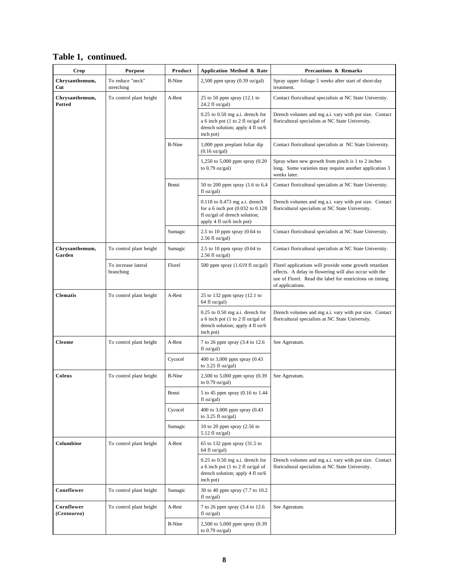|  | Table 1, continued. |  |
|--|---------------------|--|
|  |                     |  |

| Crop                      | <b>Purpose</b>                   | Product       | Application Method & Rate                                                                                                            | <b>Precautions &amp; Remarks</b>                                                                                                                                                                 |
|---------------------------|----------------------------------|---------------|--------------------------------------------------------------------------------------------------------------------------------------|--------------------------------------------------------------------------------------------------------------------------------------------------------------------------------------------------|
| Chrysanthemum,<br>Cut     | To reduce "neck"<br>stretching   | <b>B-Nine</b> | $2,500$ ppm spray $(0.39 \text{ oz/gal})$                                                                                            | Spray upper foliage 5 weeks after start of short-day<br>treatment.                                                                                                                               |
| Chrysanthemum,<br>Potted  | To control plant height          | A-Rest        | 25 to 50 ppm spray $(12.1)$ to<br>24.2 fl oz/gal)                                                                                    | Contact floricultural specialists at NC State University.                                                                                                                                        |
|                           |                                  |               | $0.25$ to $0.50$ mg a.i. drench for<br>a 6 inch pot (1 to 2 fl oz/gal of<br>drench solution; apply 4 fl oz/6<br>inch pot)            | Drench volumes and mg a.i. vary with pot size. Contact<br>floricultural specialists at NC State University.                                                                                      |
|                           |                                  | <b>B-Nine</b> | 1,000 ppm preplant foliar dip<br>$(0.16 \text{ oz/gal})$                                                                             | Contact floricultural specialists at NC State University.                                                                                                                                        |
|                           |                                  |               | 1,250 to 5,000 ppm spray (0.20<br>to $0.79$ oz/gal)                                                                                  | Spray when new growth from pinch is 1 to 2 inches<br>long. Some varieties may require another application 3<br>weeks later.                                                                      |
|                           |                                  | Bonzi         | 50 to 200 ppm spray (1.6 to 6.4<br>fl oz/gal)                                                                                        | Contact floricultural specialists at NC State University.                                                                                                                                        |
|                           |                                  |               | $0.118$ to $0.473$ mg a.i. drench<br>for a 6 inch pot (0.032 to 0.128)<br>fl oz/gal of drench solution;<br>apply 4 fl oz/6 inch pot) | Drench volumes and mg a.i. vary with pot size. Contact<br>floricultural specialists at NC State University.                                                                                      |
|                           |                                  | Sumagic       | 2.5 to 10 ppm spray $(0.64)$ to<br>$2.56$ fl oz/gal)                                                                                 | Contact floricultural specialists at NC State University.                                                                                                                                        |
| Chrysanthemum,<br>Garden  | To control plant height          | Sumagic       | 2.5 to 10 ppm spray $(0.64$ to<br>$2.56$ fl oz/gal)                                                                                  | Contact floricultural specialists at NC State University.                                                                                                                                        |
|                           | To increase lateral<br>branching | Florel        | 500 ppm spray $(1.619 \text{ fl oz/gal})$                                                                                            | Florel applications will provide some growth retardant<br>effects. A delay in flowering will also occur with the<br>use of Florel. Read the label for restrictions on timing<br>of applications. |
| <b>Clematis</b>           | To control plant height          | A-Rest        | 25 to 132 ppm spray (12.1 to<br>64 fl oz/gal)                                                                                        |                                                                                                                                                                                                  |
|                           |                                  |               | $0.25$ to $0.50$ mg a.i. drench for<br>a 6 inch pot (1 to 2 fl oz/gal of<br>drench solution; apply 4 fl oz/6<br>inch pot)            | Drench volumes and mg a.i. vary with pot size. Contact<br>floricultural specialists at NC State University.                                                                                      |
| Cleome                    | To control plant height          | A-Rest        | 7 to 26 ppm spray (3.4 to 12.6<br>f1 oz/gal                                                                                          | See Ageratum.                                                                                                                                                                                    |
|                           |                                  | Cycocel       | 400 to 3,000 ppm spray (0.43)<br>to $3.25$ fl oz/gal)                                                                                |                                                                                                                                                                                                  |
| Coleus                    | To control plant height          | <b>B-Nine</b> | 2,500 to 5,000 ppm spray (0.39<br>to $0.79$ oz/gal)                                                                                  | See Ageratum.                                                                                                                                                                                    |
|                           |                                  | Bonzi         | 5 to 45 ppm spray (0.16 to 1.44<br>floz/gal)                                                                                         |                                                                                                                                                                                                  |
|                           |                                  | Cycocel       | 400 to 3,000 ppm spray (0.43<br>to $3.25$ fl oz/gal)                                                                                 |                                                                                                                                                                                                  |
|                           |                                  | Sumagic       | 10 to 20 ppm spray $(2.56 \text{ to }$<br>$5.12$ fl oz/gal)                                                                          |                                                                                                                                                                                                  |
| Columbine                 | To control plant height          | A-Rest        | 65 to 132 ppm spray (31.5 to<br>64 fl oz/gal)                                                                                        |                                                                                                                                                                                                  |
|                           |                                  |               | $0.25$ to $0.50$ mg a.i. drench for<br>a 6 inch pot (1 to 2 fl oz/gal of<br>drench solution; apply 4 fl oz/6<br>inch pot)            | Drench volumes and mg a.i. vary with pot size. Contact<br>floricultural specialists at NC State University.                                                                                      |
| Coneflower                | To control plant height          | Sumagic       | 30 to 40 ppm spray (7.7 to 10.2)<br>fl oz/gal)                                                                                       |                                                                                                                                                                                                  |
| Cornflower<br>(Centaurea) | To control plant height          | A-Rest        | 7 to 26 ppm spray (3.4 to 12.6<br>fl oz/gal)                                                                                         | See Ageratum.                                                                                                                                                                                    |
|                           |                                  | <b>B-Nine</b> | 2,500 to 5,000 ppm spray (0.39<br>to $0.79$ oz/gal)                                                                                  |                                                                                                                                                                                                  |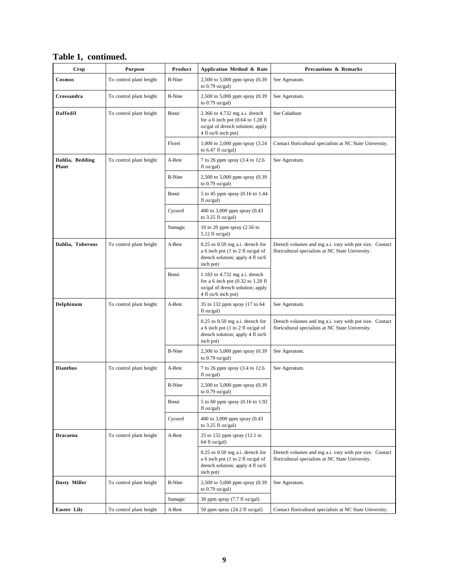| Crop                     | <b>Purpose</b>          | Product       | Application Method & Rate                                                                                                           | <b>Precautions &amp; Remarks</b>                                                                            |
|--------------------------|-------------------------|---------------|-------------------------------------------------------------------------------------------------------------------------------------|-------------------------------------------------------------------------------------------------------------|
| Cosmos                   | To control plant height | <b>B-Nine</b> | 2,500 to 5,000 ppm spray (0.39<br>to $0.79$ oz/gal)                                                                                 | See Ageratum.                                                                                               |
| Crossandra               | To control plant height | <b>B-Nine</b> | 2,500 to 5,000 ppm spray (0.39<br>to $0.79$ oz/gal)                                                                                 | See Ageratum.                                                                                               |
| Daffodil                 | To control plant height | Bonzi         | 2.366 to 4.732 mg a.i. drench<br>for a 6 inch pot $(0.64$ to 1.28 fl<br>oz/gal of drench solution; apply<br>4 fl oz/6 inch pot)     | See Caladium                                                                                                |
|                          |                         | Florel        | 1,000 to 2,000 ppm spray (3.24)<br>to $6.47$ fl oz/gal)                                                                             | Contact floricultural specialists at NC State University.                                                   |
| Dahlia, Bedding<br>Plant | To control plant height | A-Rest        | 7 to 26 ppm spray (3.4 to 12.6<br>floz/gal)                                                                                         | See Ageratum.                                                                                               |
|                          |                         | <b>B-Nine</b> | 2,500 to 5,000 ppm spray (0.39<br>to $0.79$ oz/gal)                                                                                 |                                                                                                             |
|                          |                         | Bonzi         | 5 to 45 ppm spray (0.16 to 1.44<br>fl oz/gal)                                                                                       |                                                                                                             |
|                          |                         | Cycocel       | 400 to 3,000 ppm spray (0.43<br>to $3.25$ fl oz/gal)                                                                                |                                                                                                             |
|                          |                         | Sumagic       | 10 to 20 ppm spray (2.56 to<br>$5.12$ fl oz/gal)                                                                                    |                                                                                                             |
| Dahlia, Tuberous         | To control plant height | A-Rest        | $0.25$ to $0.50$ mg a.i. drench for<br>a 6 inch pot (1 to 2 fl oz/gal of<br>drench solution; apply 4 fl oz/6<br>inch pot)           | Drench volumes and mg a.i. vary with pot size. Contact<br>floricultural specialists at NC State University. |
|                          |                         | Bonzi         | $1.183$ to $4.732$ mg a.i. drench<br>for a 6 inch pot $(0.32$ to 1.28 fl<br>oz/gal of drench solution; apply<br>4 fl oz/6 inch pot) |                                                                                                             |
| Delphinum                | To control plant height | A-Rest        | 35 to 132 ppm spray (17 to 64<br>fl oz/gal)                                                                                         | See Ageratum.                                                                                               |
|                          |                         |               | $0.25$ to $0.50$ mg a.i. drench for<br>a 6 inch pot (1 to 2 fl oz/gal of<br>drench solution; apply 4 fl oz/6<br>inch pot)           | Drench volumes and mg a.i. vary with pot size. Contact<br>floricultural specialists at NC State University. |
|                          |                         | <b>B-Nine</b> | 2,500 to 5,000 ppm spray (0.39<br>to $0.79$ oz/gal)                                                                                 | See Ageratum.                                                                                               |
| <b>Dianthus</b>          | To control plant height | A-Rest        | 7 to 26 ppm spray (3.4 to 12.6<br>fl oz/gal)                                                                                        | See Ageratum.                                                                                               |
|                          |                         | <b>B-Nine</b> | 2,500 to 5,000 ppm spray (0.39)<br>to 0.79 oz/gal)                                                                                  |                                                                                                             |
|                          |                         | Bonzi         | 5 to 60 ppm spray (0.16 to 1.92<br>fl oz/gal)                                                                                       |                                                                                                             |
|                          |                         | Cycocel       | 400 to 3,000 ppm spray (0.43<br>to $3.25$ fl oz/gal)                                                                                |                                                                                                             |
| <b>Dracaena</b>          | To control plant height | A-Rest        | 25 to 132 ppm spray (12.1 to<br>64 fl oz/gal)                                                                                       |                                                                                                             |
|                          |                         |               | $0.25$ to $0.50$ mg a.i. drench for<br>a 6 inch pot (1 to 2 fl oz/gal of<br>drench solution; apply 4 fl oz/6<br>inch pot)           | Drench volumes and mg a.i. vary with pot size. Contact<br>floricultural specialists at NC State University. |
| <b>Dusty Miller</b>      | To control plant height | <b>B-Nine</b> | 2,500 to 5,000 ppm spray (0.39<br>to $0.79$ oz/gal)                                                                                 | See Ageratum.                                                                                               |
|                          |                         | Sumagic       | 30 ppm spray (7.7 fl oz/gal)                                                                                                        |                                                                                                             |
| <b>Easter Lily</b>       | To control plant height | A-Rest        | 50 ppm spray $(24.2 \text{ fl oz/gal})$                                                                                             | Contact floricultural specialists at NC State University.                                                   |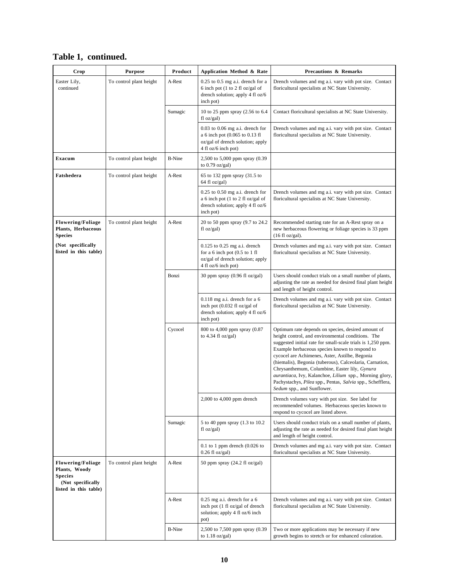| Table 1, continued. |  |
|---------------------|--|
|                     |  |

| Crop                                                                                                      | <b>Purpose</b>          | Product       | Application Method & Rate                                                                                                                             | <b>Precautions &amp; Remarks</b>                                                                                                                                                                                                                                                                                                                                                                                                                                                                                                              |
|-----------------------------------------------------------------------------------------------------------|-------------------------|---------------|-------------------------------------------------------------------------------------------------------------------------------------------------------|-----------------------------------------------------------------------------------------------------------------------------------------------------------------------------------------------------------------------------------------------------------------------------------------------------------------------------------------------------------------------------------------------------------------------------------------------------------------------------------------------------------------------------------------------|
| Easter Lily,<br>continued                                                                                 | To control plant height | A-Rest        | $0.25$ to $0.5$ mg a.i. drench for a<br>6 inch pot $(1 \text{ to } 2 \text{ fl } oz/gal \text{ of }$<br>drench solution; apply 4 fl oz/6<br>inch pot) | Drench volumes and mg a.i. vary with pot size. Contact<br>floricultural specialists at NC State University.                                                                                                                                                                                                                                                                                                                                                                                                                                   |
|                                                                                                           |                         | Sumagic       | 10 to 25 ppm spray (2.56 to 6.4<br>floz/gal)                                                                                                          | Contact floricultural specialists at NC State University.                                                                                                                                                                                                                                                                                                                                                                                                                                                                                     |
|                                                                                                           |                         |               | $0.03$ to $0.06$ mg a.i. drench for<br>a 6 inch pot (0.065 to 0.13 fl<br>oz/gal of drench solution; apply<br>4 fl oz/6 inch pot)                      | Drench volumes and mg a.i. vary with pot size. Contact<br>floricultural specialists at NC State University.                                                                                                                                                                                                                                                                                                                                                                                                                                   |
| Exacum                                                                                                    | To control plant height | <b>B-Nine</b> | 2,500 to 5,000 ppm spray (0.39)<br>to $0.79$ oz/gal)                                                                                                  |                                                                                                                                                                                                                                                                                                                                                                                                                                                                                                                                               |
| Fatshedera                                                                                                | To control plant height | A-Rest        | 65 to 132 ppm spray (31.5 to<br>64 fl oz/gal)                                                                                                         |                                                                                                                                                                                                                                                                                                                                                                                                                                                                                                                                               |
|                                                                                                           |                         |               | $0.25$ to $0.50$ mg a.i. drench for<br>a 6 inch pot (1 to 2 fl oz/gal of<br>drench solution; apply 4 fl oz/6<br>inch pot)                             | Drench volumes and mg a.i. vary with pot size. Contact<br>floricultural specialists at NC State University.                                                                                                                                                                                                                                                                                                                                                                                                                                   |
| <b>Flowering/Foliage</b><br>Plants, Herbaceous<br><b>Species</b>                                          | To control plant height | A-Rest        | 20 to 50 ppm spray (9.7 to 24.2)<br>$f$ l oz/gal)                                                                                                     | Recommended starting rate for an A-Rest spray on a<br>new herbaceous flowering or foliage species is 33 ppm<br>$(16 \text{ fl oz/gal}).$                                                                                                                                                                                                                                                                                                                                                                                                      |
| (Not specifically<br>listed in this table)                                                                |                         |               | $0.125$ to $0.25$ mg a.i. drench<br>for a $6$ inch pot $(0.5$ to $1$ fl<br>oz/gal of drench solution; apply<br>4 fl oz/6 inch pot)                    | Drench volumes and mg a.i. vary with pot size. Contact<br>floricultural specialists at NC State University.                                                                                                                                                                                                                                                                                                                                                                                                                                   |
|                                                                                                           |                         | Bonzi         | 30 ppm spray (0.96 fl oz/gal)                                                                                                                         | Users should conduct trials on a small number of plants,<br>adjusting the rate as needed for desired final plant height<br>and length of height control.                                                                                                                                                                                                                                                                                                                                                                                      |
|                                                                                                           |                         |               | $0.118$ mg a.i. drench for a 6<br>inch pot (0.032 fl oz/gal of<br>drench solution; apply 4 fl oz/6<br>inch pot)                                       | Drench volumes and mg a.i. vary with pot size. Contact<br>floricultural specialists at NC State University.                                                                                                                                                                                                                                                                                                                                                                                                                                   |
|                                                                                                           |                         | Cycocel       | 800 to 4,000 ppm spray (0.87<br>to 4.34 fl oz/gal)                                                                                                    | Optimum rate depends on species, desired amount of<br>height control, and environmental conditions. The<br>suggested initial rate for small-scale trials is 1,250 ppm.<br>Example herbaceous species known to respond to<br>cycocel are Achimenes, Aster, Astilbe, Begonia<br>(hiemalis), Begonia (tuberous), Calceolaria, Carnation,<br>Chrysanthemum, Columbine, Easter lily, Gynura<br>aurantiaca, Ivy, Kalanchoe, Lilium spp., Morning glory,<br>Pachystachys, Pilea spp., Pentas, Salvia spp., Schefflera,<br>Sedum spp., and Sunflower. |
|                                                                                                           |                         |               | $2,000$ to $4,000$ ppm drench                                                                                                                         | Drench volumes vary with pot size. See label for<br>recommended volumes. Herbaceous species known to<br>respond to cycocel are listed above.                                                                                                                                                                                                                                                                                                                                                                                                  |
|                                                                                                           |                         | Sumagic       | 5 to 40 ppm spray (1.3 to 10.2)<br>$f1 oz/gal$ )                                                                                                      | Users should conduct trials on a small number of plants,<br>adjusting the rate as needed for desired final plant height<br>and length of height control.                                                                                                                                                                                                                                                                                                                                                                                      |
|                                                                                                           |                         |               | $0.1$ to 1 ppm drench (0.026 to<br>$0.26$ fl oz/gal)                                                                                                  | Drench volumes and mg a.i. vary with pot size. Contact<br>floricultural specialists at NC State University.                                                                                                                                                                                                                                                                                                                                                                                                                                   |
| <b>Flowering/Foliage</b><br>Plants, Woody<br><b>Species</b><br>(Not specifically<br>listed in this table) | To control plant height | A-Rest        | 50 ppm spray $(24.2 \text{ fl oz/gal})$                                                                                                               |                                                                                                                                                                                                                                                                                                                                                                                                                                                                                                                                               |
|                                                                                                           |                         | A-Rest        | $0.25$ mg a.i. drench for a 6<br>inch pot (1 fl oz/gal of drench<br>solution; apply 4 fl oz/6 inch<br>pot)                                            | Drench volumes and mg a.i. vary with pot size. Contact<br>floricultural specialists at NC State University.                                                                                                                                                                                                                                                                                                                                                                                                                                   |
|                                                                                                           |                         | <b>B-Nine</b> | 2,500 to 7,500 ppm spray (0.39<br>to $1.18$ oz/gal)                                                                                                   | Two or more applications may be necessary if new<br>growth begins to stretch or for enhanced coloration.                                                                                                                                                                                                                                                                                                                                                                                                                                      |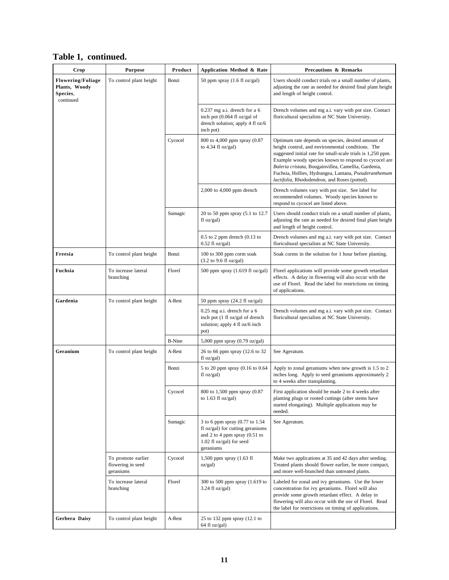| Crop                                                               | <b>Purpose</b>                                       | Product       | Application Method & Rate                                                                                                                        | <b>Precautions &amp; Remarks</b>                                                                                                                                                                                                                                                                                                                                                                  |
|--------------------------------------------------------------------|------------------------------------------------------|---------------|--------------------------------------------------------------------------------------------------------------------------------------------------|---------------------------------------------------------------------------------------------------------------------------------------------------------------------------------------------------------------------------------------------------------------------------------------------------------------------------------------------------------------------------------------------------|
| <b>Flowering/Foliage</b><br>Plants, Woody<br>Species,<br>continued | To control plant height                              | Bonzi         | 50 ppm spray (1.6 fl oz/gal)                                                                                                                     | Users should conduct trials on a small number of plants,<br>adjusting the rate as needed for desired final plant height<br>and length of height control.                                                                                                                                                                                                                                          |
|                                                                    |                                                      |               | $0.237$ mg a.i. drench for a 6<br>inch pot (0.064 fl oz/gal of<br>drench solution; apply 4 fl oz/6<br>inch pot)                                  | Drench volumes and mg a.i. vary with pot size. Contact<br>floricultural specialists at NC State University.                                                                                                                                                                                                                                                                                       |
|                                                                    |                                                      | Cycocel       | 800 to 4,000 ppm spray (0.87<br>to $4.34$ fl oz/gal)                                                                                             | Optimum rate depends on species, desired amount of<br>height control, and environmental conditions. The<br>suggested initial rate for small-scale trials is 1,250 ppm.<br>Example woody species known to respond to cycocel are<br>Baleria cristata, Bougainvillea, Camellia, Gardenia,<br>Fuchsia, Hollies, Hydrangea, Lantana, Pseuderanthemum<br>lactifolia, Rhododendron, and Roses (potted). |
|                                                                    |                                                      |               | $2,000$ to $4,000$ ppm drench                                                                                                                    | Drench volumes vary with pot size. See label for<br>recommended volumes. Woody species known to<br>respond to cycocel are listed above.                                                                                                                                                                                                                                                           |
|                                                                    |                                                      | Sumagic       | 20 to 50 ppm spray (5.1 to 12.7<br>fl oz/gal)                                                                                                    | Users should conduct trials on a small number of plants,<br>adjusting the rate as needed for desired final plant height<br>and length of height control.                                                                                                                                                                                                                                          |
|                                                                    |                                                      |               | $0.5$ to 2 ppm drench $(0.13)$ to<br>$0.52$ fl oz/gal)                                                                                           | Drench volumes and mg a.i. vary with pot size. Contact<br>floricultural specialists at NC State University.                                                                                                                                                                                                                                                                                       |
| Freesia                                                            | To control plant height                              | Bonzi         | 100 to 300 ppm corm soak<br>$(3.2$ to 9.6 fl oz/gal)                                                                                             | Soak corms in the solution for 1 hour before planting.                                                                                                                                                                                                                                                                                                                                            |
| Fuchsia                                                            | To increase lateral<br>branching                     | Florel        | 500 ppm spray $(1.619 \text{ fl oz/gal})$                                                                                                        | Florel applications will provide some growth retardant<br>effects. A delay in flowering will also occur with the<br>use of Florel. Read the label for restrictions on timing<br>of applications.                                                                                                                                                                                                  |
| Gardenia                                                           | To control plant height                              | A-Rest        | 50 ppm spray (24.2 fl oz/gal)                                                                                                                    |                                                                                                                                                                                                                                                                                                                                                                                                   |
|                                                                    |                                                      |               | $0.25$ mg a.i. drench for a 6<br>inch pot (1 fl oz/gal of drench<br>solution; apply 4 fl oz/6 inch<br>pot)                                       | Drench volumes and mg a.i. vary with pot size. Contact<br>floricultural specialists at NC State University.                                                                                                                                                                                                                                                                                       |
|                                                                    |                                                      | <b>B-Nine</b> | 5,000 ppm spray $(0.79 \text{ oz/gal})$                                                                                                          |                                                                                                                                                                                                                                                                                                                                                                                                   |
| Geranium                                                           | To control plant height                              | A-Rest        | 26 to 66 ppm spray (12.6 to 32)<br>fl oz/gal)                                                                                                    | See Ageratum.                                                                                                                                                                                                                                                                                                                                                                                     |
|                                                                    |                                                      | Bonzi         | 5 to 20 ppm spray (0.16 to 0.64<br>fl oz/gal)                                                                                                    | Apply to zonal geraniums when new growth is 1.5 to 2<br>inches long. Apply to seed geraniums approximately 2<br>to 4 weeks after transplanting.                                                                                                                                                                                                                                                   |
|                                                                    |                                                      | Cycocel       | 800 to 1,500 ppm spray (0.87<br>to $1.63$ fl oz/gal)                                                                                             | First application should be made 2 to 4 weeks after<br>planting plugs or rooted cuttings (after stems have<br>started elongating). Multiple applications may be<br>needed.                                                                                                                                                                                                                        |
|                                                                    |                                                      | Sumagic       | 3 to 6 ppm spray (0.77 to 1.54<br>fl oz/gal) for cutting geraniums<br>and 2 to 4 ppm spray $(0.51$ to<br>$1.02$ fl oz/gal) for seed<br>geraniums | See Ageratum.                                                                                                                                                                                                                                                                                                                                                                                     |
|                                                                    | To promote earlier<br>flowering in seed<br>geraniums | Cycocel       | 1,500 ppm spray (1.63 fl<br>oz/gal)                                                                                                              | Make two applications at 35 and 42 days after seeding.<br>Treated plants should flower earlier, be more compact,<br>and more well-branched than untreated plants.                                                                                                                                                                                                                                 |
|                                                                    | To increase lateral<br>branching                     | Florel        | 300 to 500 ppm spray (1.619 to<br>$3.24$ fl oz/gal)                                                                                              | Labeled for zonal and ivy geraniums. Use the lower<br>concentration for ivy geraniums. Florel will also<br>provide some growth retardant effect. A delay in<br>flowering will also occur with the use of Florel. Read<br>the label for restrictions on timing of applications.                                                                                                                    |
| Gerbera Daisy                                                      | To control plant height                              | A-Rest        | 25 to 132 ppm spray (12.1 to<br>64 fl oz/gal)                                                                                                    |                                                                                                                                                                                                                                                                                                                                                                                                   |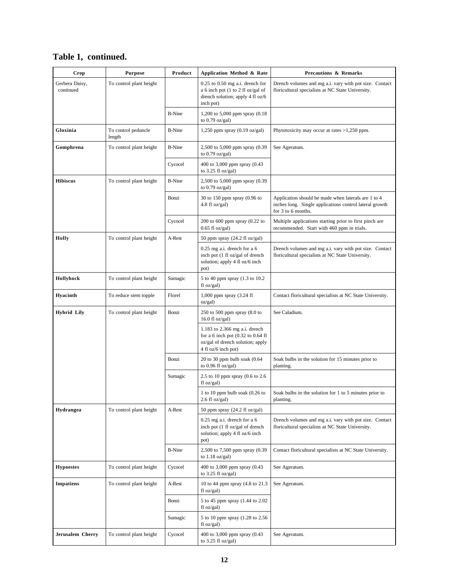| Crop                        | <b>Purpose</b>                | Product       | Application Method & Rate                                                                                                           | <b>Precautions &amp; Remarks</b>                                                                                                     |
|-----------------------------|-------------------------------|---------------|-------------------------------------------------------------------------------------------------------------------------------------|--------------------------------------------------------------------------------------------------------------------------------------|
| Gerbera Daisy,<br>continued | To control plant height       |               | $0.25$ to $0.50$ mg a.i. drench for<br>a 6 inch pot (1 to 2 fl oz/gal of<br>drench solution; apply 4 fl oz/6<br>inch pot)           | Drench volumes and mg a.i. vary with pot size. Contact<br>floricultural specialists at NC State University.                          |
|                             |                               | <b>B-Nine</b> | 1,200 to 5,000 ppm spray (0.18)<br>to $0.79$ oz/gal)                                                                                |                                                                                                                                      |
| Gloxinia                    | To control peduncle<br>length | <b>B-Nine</b> | 1,250 ppm spray (0.19 oz/gal)                                                                                                       | Phytotoxicity may occur at rates $>1,250$ ppm.                                                                                       |
| Gomphrena                   | To control plant height       | <b>B-Nine</b> | 2,500 to 5,000 ppm spray (0.39<br>to $0.79$ oz/gal)                                                                                 | See Ageratum.                                                                                                                        |
|                             |                               | Cycocel       | 400 to 3,000 ppm spray (0.43)<br>to $3.25$ fl oz/gal)                                                                               |                                                                                                                                      |
| <b>Hibiscus</b>             | To control plant height       | <b>B-Nine</b> | 2,500 to 5,000 ppm spray (0.39<br>to $0.79$ oz/gal)                                                                                 |                                                                                                                                      |
|                             |                               | Bonzi         | 30 to 150 ppm spray (0.96 to<br>4.8 fl oz/gal)                                                                                      | Application should be made when laterals are 1 to 4<br>inches long. Single applications control lateral growth<br>for 3 to 6 months. |
|                             |                               | Cycocel       | 200 to 600 ppm spray $(0.22$ to<br>$0.65$ fl oz/gal)                                                                                | Multiple applications starting prior to first pinch are<br>recommended. Start with 460 ppm in trials.                                |
| Holly                       | To control plant height       | A-Rest        | 50 ppm spray $(24.2 \text{ fl oz/gal})$                                                                                             |                                                                                                                                      |
|                             |                               |               | $0.25$ mg a.i. drench for a 6<br>inch pot (1 fl oz/gal of drench<br>solution; apply 4 fl oz/6 inch<br>pot)                          | Drench volumes and mg a.i. vary with pot size. Contact<br>floricultural specialists at NC State University.                          |
| Hollyhock                   | To control plant height       | Sumagic       | 5 to 40 ppm spray (1.3 to 10.2)<br>f1 oz/gal                                                                                        |                                                                                                                                      |
| Hyacinth                    | To reduce stem topple         | Florel        | 1,000 ppm spray (3.24 fl<br>oz/gal)                                                                                                 | Contact floricultural specialists at NC State University.                                                                            |
| <b>Hybrid Lily</b>          | To control plant height       | Bonzi         | 250 to 500 ppm spray $(8.0 \text{ to }$<br>$16.0$ fl oz/gal)                                                                        | See Caladium.                                                                                                                        |
|                             |                               |               | $1.183$ to 2.366 mg a.i. drench<br>for a 6 inch pot $(0.32$ to $0.64$ fl<br>oz/gal of drench solution; apply<br>4 fl oz/6 inch pot) |                                                                                                                                      |
|                             |                               | Bonzi         | $20$ to $30$ ppm bulb soak $(0.64)$<br>to $0.96$ fl oz/gal)                                                                         | Soak bulbs in the solution for 15 minutes prior to<br>planting.                                                                      |
|                             |                               | Sumagic       | 2.5 to 10 ppm spray $(0.6 \text{ to } 2.6)$<br>fl oz/gal)                                                                           |                                                                                                                                      |
|                             |                               |               | 1 to 10 ppm bulb soak $(0.26$ to<br>$2.6 \text{ fl oz/gal}$                                                                         | Soak bulbs in the solution for 1 to 5 minutes prior to<br>planting.                                                                  |
| Hydrangea                   | To control plant height       | A-Rest        | 50 ppm spray $(24.2 \text{ fl oz/gal})$                                                                                             |                                                                                                                                      |
|                             |                               |               | $0.25$ mg a.i. drench for a 6<br>inch pot (1 fl oz/gal of drench<br>solution; apply 4 fl oz/6 inch<br>pot)                          | Drench volumes and mg a.i. vary with pot size. Contact<br>floricultural specialists at NC State University.                          |
|                             |                               | <b>B-Nine</b> | 2,500 to 7,500 ppm spray (0.39<br>to $1.18$ oz/gal)                                                                                 | Contact floricultural specialists at NC State University.                                                                            |
| <b>Hypoestes</b>            | To control plant height       | Cycocel       | 400 to 3,000 ppm spray (0.43)<br>to $3.25$ fl oz/gal)                                                                               | See Ageratum.                                                                                                                        |
| <b>Impatiens</b>            | To control plant height       | A-Rest        | 10 to 44 ppm spray (4.8 to 21.3<br>$f1 oz/gal$ )                                                                                    | See Ageratum.                                                                                                                        |
|                             |                               | Bonzi         | 5 to 45 ppm spray (1.44 to 2.02<br>fl oz/gal)                                                                                       |                                                                                                                                      |
|                             |                               | Sumagic       | 5 to 10 ppm spray (1.28 to 2.56<br>$f$ l oz/gal)                                                                                    |                                                                                                                                      |
| Jerusalem Cherry            | To control plant height       | Cycocel       | 400 to 3,000 ppm spray (0.43<br>to $3.25$ fl oz/gal)                                                                                | See Ageratum.                                                                                                                        |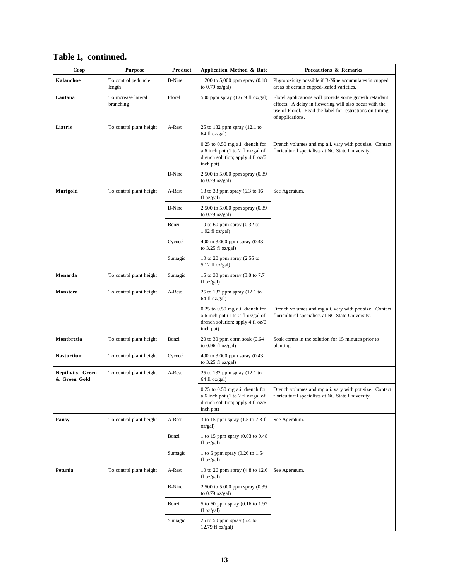| Crop                             | <b>Purpose</b>                   | Product       | Application Method & Rate                                                                                                   | <b>Precautions &amp; Remarks</b>                                                                                                                                                                 |
|----------------------------------|----------------------------------|---------------|-----------------------------------------------------------------------------------------------------------------------------|--------------------------------------------------------------------------------------------------------------------------------------------------------------------------------------------------|
| Kalanchoe                        | To control peduncle<br>length    | <b>B-Nine</b> | 1,200 to 5,000 ppm spray (0.18)<br>to $0.79$ oz/gal)                                                                        | Phytotoxicity possible if B-Nine accumulates in cupped<br>areas of certain cupped-leafed varieties.                                                                                              |
| Lantana                          | To increase lateral<br>branching | Florel        | 500 ppm spray $(1.619 \text{ fl oz/gal})$                                                                                   | Florel applications will provide some growth retardant<br>effects. A delay in flowering will also occur with the<br>use of Florel. Read the label for restrictions on timing<br>of applications. |
| Liatris                          | To control plant height          | A-Rest        | 25 to 132 ppm spray (12.1 to<br>64 fl oz/gal)                                                                               |                                                                                                                                                                                                  |
|                                  |                                  |               | $0.25$ to $0.50$ mg a.i. drench for<br>a 6 inch pot (1 to 2 fl oz/gal of<br>drench solution; apply 4 fl oz/6<br>inch pot)   | Drench volumes and mg a.i. vary with pot size. Contact<br>floricultural specialists at NC State University.                                                                                      |
|                                  |                                  | <b>B-Nine</b> | 2,500 to 5,000 ppm spray (0.39<br>to $0.79$ oz/gal)                                                                         |                                                                                                                                                                                                  |
| Marigold                         | To control plant height          | A-Rest        | 13 to 33 ppm spray (6.3 to 16<br>fl oz/gal)                                                                                 | See Ageratum.                                                                                                                                                                                    |
|                                  |                                  | <b>B-Nine</b> | 2,500 to 5,000 ppm spray (0.39)<br>to $0.79$ oz/gal)                                                                        |                                                                                                                                                                                                  |
|                                  |                                  | Bonzi         | 10 to 60 ppm spray $(0.32$ to<br>$1.92$ fl oz/gal)                                                                          |                                                                                                                                                                                                  |
|                                  |                                  | Cycocel       | 400 to 3,000 ppm spray (0.43<br>to $3.25$ fl oz/gal)                                                                        |                                                                                                                                                                                                  |
|                                  |                                  | Sumagic       | 10 to 20 ppm spray (2.56 to<br>$5.12$ fl oz/gal)                                                                            |                                                                                                                                                                                                  |
| Monarda                          | To control plant height          | Sumagic       | 15 to 30 ppm spray (3.8 to 7.7<br>fl oz/gal)                                                                                |                                                                                                                                                                                                  |
| Monstera                         | To control plant height          | A-Rest        | 25 to 132 ppm spray (12.1 to<br>64 fl oz/gal)                                                                               |                                                                                                                                                                                                  |
|                                  |                                  |               | $0.25$ to $0.50$ mg a.i. drench for<br>a 6 inch pot (1 to 2 fl oz/gal of<br>drench solution; apply 4 fl oz/6<br>inch pot)   | Drench volumes and mg a.i. vary with pot size. Contact<br>floricultural specialists at NC State University.                                                                                      |
| Montbretia                       | To control plant height          | Bonzi         | $20$ to 30 ppm corm soak $(0.64)$<br>to $0.96$ fl oz/gal)                                                                   | Soak corms in the solution for 15 minutes prior to<br>planting.                                                                                                                                  |
| Nasturtium                       | To control plant height          | Cycocel       | 400 to 3,000 ppm spray (0.43<br>to $3.25$ fl oz/gal)                                                                        |                                                                                                                                                                                                  |
| Nepthytis, Green<br>& Green Gold | To control plant height          | A-Rest        | 25 to 132 ppm spray (12.1 to<br>64 fl oz/gal)                                                                               |                                                                                                                                                                                                  |
|                                  |                                  |               | $0.25$ to $0.50$ mg a.i. drench for<br>a 6 inch pot (1 to 2 fl oz/gal of<br>drench solution; apply 4 fl $oz/6$<br>inch pot) | Drench volumes and mg a.i. vary with pot size. Contact<br>floricultural specialists at NC State University.                                                                                      |
| Pansy                            | To control plant height          | A-Rest        | 3 to 15 ppm spray (1.5 to 7.3 fl<br>oz/gal)                                                                                 | See Ageratum.                                                                                                                                                                                    |
|                                  |                                  | Bonzi         | 1 to 15 ppm spray (0.03 to 0.48<br>$f$ l oz/gal)                                                                            |                                                                                                                                                                                                  |
|                                  |                                  | Sumagic       | 1 to 6 ppm spray (0.26 to 1.54<br>$f$ l oz/gal)                                                                             |                                                                                                                                                                                                  |
| Petunia                          | To control plant height          | A-Rest        | 10 to 26 ppm spray (4.8 to 12.6)<br>fl oz/gal)                                                                              | See Ageratum.                                                                                                                                                                                    |
|                                  |                                  | <b>B-Nine</b> | 2,500 to 5,000 ppm spray (0.39)<br>to $0.79$ oz/gal)                                                                        |                                                                                                                                                                                                  |
|                                  |                                  | Bonzi         | 5 to 60 ppm spray (0.16 to 1.92<br>fl oz/gal)                                                                               |                                                                                                                                                                                                  |
|                                  |                                  | Sumagic       | 25 to 50 ppm spray (6.4 to<br>12.79 fl oz/gal)                                                                              |                                                                                                                                                                                                  |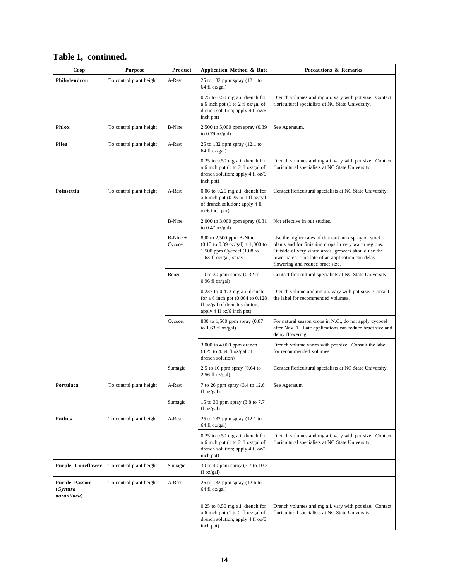|  | Table 1, continued. |
|--|---------------------|
|--|---------------------|

| Crop                                             | <b>Purpose</b>          | Product               | Application Method & Rate                                                                                                                        | <b>Precautions &amp; Remarks</b>                                                                                                                                                                                                                            |
|--------------------------------------------------|-------------------------|-----------------------|--------------------------------------------------------------------------------------------------------------------------------------------------|-------------------------------------------------------------------------------------------------------------------------------------------------------------------------------------------------------------------------------------------------------------|
| Philodendron                                     | To control plant height | A-Rest                | 25 to 132 ppm spray (12.1 to<br>64 fl oz/gal)                                                                                                    |                                                                                                                                                                                                                                                             |
|                                                  |                         |                       | $0.25$ to $0.50$ mg a.i. drench for<br>a 6 inch pot (1 to 2 fl oz/gal of<br>drench solution; apply 4 fl oz/6<br>inch pot)                        | Drench volumes and mg a.i. vary with pot size. Contact<br>floricultural specialists at NC State University.                                                                                                                                                 |
| Phlox                                            | To control plant height | <b>B-Nine</b>         | 2,500 to 5,000 ppm spray (0.39<br>to $0.79$ oz/gal)                                                                                              | See Ageratum.                                                                                                                                                                                                                                               |
| Pilea                                            | To control plant height | A-Rest                | 25 to 132 ppm spray (12.1 to<br>64 fl oz/gal)                                                                                                    |                                                                                                                                                                                                                                                             |
|                                                  |                         |                       | $0.25$ to $0.50$ mg a.i. drench for<br>a 6 inch pot (1 to 2 fl oz/gal of<br>drench solution; apply 4 fl oz/6<br>inch pot)                        | Drench volumes and mg a.i. vary with pot size. Contact<br>floricultural specialists at NC State University.                                                                                                                                                 |
| Poinsettia                                       | To control plant height | A-Rest                | $0.06$ to $0.25$ mg a.i. drench for<br>a 6 inch pot $(0.25$ to 1 fl oz/gal<br>of drench solution; apply 4 fl<br>oz/6 inch pot)                   | Contact floricultural specialists at NC State University.                                                                                                                                                                                                   |
|                                                  |                         | <b>B-Nine</b>         | 2,000 to 3,000 ppm spray (0.31)<br>to $0.47$ oz/gal)                                                                                             | Not effective in our studies.                                                                                                                                                                                                                               |
|                                                  |                         | $B-Nine +$<br>Cycocel | 800 to 2,500 ppm B-Nine<br>$(0.13 \text{ to } 0.39 \text{ oz/gal}) + 1,000 \text{ to }$<br>1,500 ppm Cycocel $(1.08$ to<br>1.63 fl oz/gal) spray | Use the higher rates of this tank mix spray on stock<br>plants and for finishing crops in very warm regions.<br>Outside of very warm areas, growers should use the<br>lower rates. Too late of an application can delay<br>flowering and reduce bract size. |
|                                                  |                         | Bonzi                 | 10 to 30 ppm spray $(0.32$ to<br>$0.96$ fl oz/gal)                                                                                               | Contact floricultural specialists at NC State University.                                                                                                                                                                                                   |
|                                                  |                         |                       | 0.237 to 0.473 mg a.i. drench<br>for a 6 inch pot $(0.064$ to $0.128$<br>fl oz/gal of drench solution;<br>apply 4 fl oz/6 inch pot)              | Drench volume and mg a.i. vary with pot size. Consult<br>the label for recommended volumes.                                                                                                                                                                 |
|                                                  |                         | Cycocel               | 800 to 1,500 ppm spray (0.87)<br>to $1.63$ fl oz/gal)                                                                                            | For natural season crops in N.C., do not apply cycocel<br>after Nov. 1. Late applications can reduce bract size and<br>delay flowering.                                                                                                                     |
|                                                  |                         |                       | 3,000 to 4,000 ppm drench<br>$(3.25$ to 4.34 fl oz/gal of<br>drench solution)                                                                    | Drench volume varies with pot size. Consult the label<br>for recommended volumes.                                                                                                                                                                           |
|                                                  |                         | Sumagic               | 2.5 to 10 ppm spray $(0.64)$ to<br>$2.56$ fl oz/gal)                                                                                             | Contact floricultural specialists at NC State University.                                                                                                                                                                                                   |
| Portulaca                                        | To control plant height | A-Rest                | 7 to 26 ppm spray (3.4 to 12.6<br>floz/gal)                                                                                                      | See Ageratum                                                                                                                                                                                                                                                |
|                                                  |                         | Sumagic               | 15 to 30 ppm spray (3.8 to 7.7<br>f1 oz/gal                                                                                                      |                                                                                                                                                                                                                                                             |
| Pothos                                           | To control plant height | A-Rest                | 25 to 132 ppm spray (12.1 to<br>64 fl oz/gal)                                                                                                    |                                                                                                                                                                                                                                                             |
|                                                  |                         |                       | $0.25$ to $0.50$ mg a.i. drench for<br>a 6 inch pot (1 to 2 fl oz/gal of<br>drench solution; apply 4 fl oz/6<br>inch pot)                        | Drench volumes and mg a.i. vary with pot size. Contact<br>floricultural specialists at NC State University.                                                                                                                                                 |
| <b>Purple Coneflower</b>                         | To control plant height | Sumagic               | 30 to 40 ppm spray (7.7 to 10.2)<br>fl oz/gal)                                                                                                   |                                                                                                                                                                                                                                                             |
| <b>Purple Passion</b><br>(Gynura)<br>aurantiaca) | To control plant height | A-Rest                | 26 to 132 ppm spray (12.6 to<br>$64 \text{ fl oz/gal}$                                                                                           |                                                                                                                                                                                                                                                             |
|                                                  |                         |                       | $0.25$ to $0.50$ mg a.i. drench for<br>a 6 inch pot (1 to 2 fl oz/gal of<br>drench solution; apply 4 fl oz/6<br>inch pot)                        | Drench volumes and mg a.i. vary with pot size. Contact<br>floricultural specialists at NC State University.                                                                                                                                                 |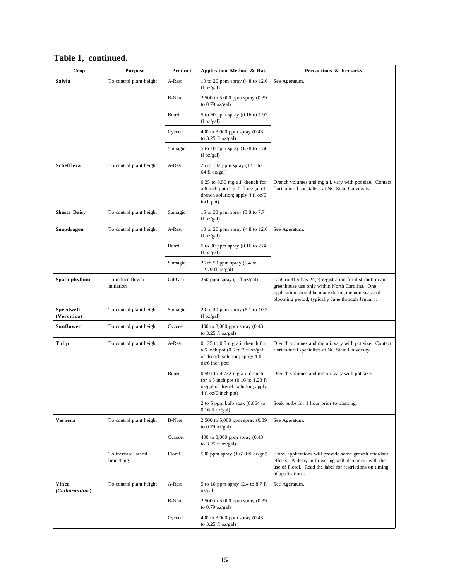| Table 1, continued. |  |
|---------------------|--|
|---------------------|--|

| Crop                    | <b>Purpose</b>                   | Product       | Application Method & Rate                                                                                                       | <b>Precautions &amp; Remarks</b>                                                                                                                                                                                   |
|-------------------------|----------------------------------|---------------|---------------------------------------------------------------------------------------------------------------------------------|--------------------------------------------------------------------------------------------------------------------------------------------------------------------------------------------------------------------|
| Salvia                  | To control plant height          | A-Rest        | 10 to 26 ppm spray (4.8 to 12.6)<br>fl oz/gal)                                                                                  | See Ageratum.                                                                                                                                                                                                      |
|                         |                                  | <b>B-Nine</b> | 2,500 to 5,000 ppm spray (0.39<br>to $0.79$ oz/gal)                                                                             |                                                                                                                                                                                                                    |
|                         |                                  | Bonzi         | 5 to 60 ppm spray (0.16 to 1.92)<br>fl oz/gal)                                                                                  |                                                                                                                                                                                                                    |
|                         |                                  | Cycocel       | 400 to 3,000 ppm spray (0.43<br>to $3.25$ fl oz/gal)                                                                            |                                                                                                                                                                                                                    |
|                         |                                  | Sumagic       | 5 to 10 ppm spray (1.28 to 2.56)<br>fl oz/gal)                                                                                  |                                                                                                                                                                                                                    |
| Schefflera              | To control plant height          | A-Rest        | 25 to 132 ppm spray (12.1 to<br>64 fl oz/gal)                                                                                   |                                                                                                                                                                                                                    |
|                         |                                  |               | $0.25$ to $0.50$ mg a.i. drench for<br>a 6 inch pot (1 to 2 fl oz/gal of<br>drench solution; apply 4 fl oz/6<br>inch pot)       | Drench volumes and mg a.i. vary with pot size. Contact<br>floricultural specialists at NC State University.                                                                                                        |
| <b>Shasta Daisy</b>     | To control plant height          | Sumagic       | 15 to 30 ppm spray (3.8 to 7.7<br>floz/gal)                                                                                     |                                                                                                                                                                                                                    |
| Snapdragon              | To control plant height          | A-Rest        | 10 to 26 ppm spray (4.8 to 12.6)<br>fl oz/gal)                                                                                  | See Ageratum.                                                                                                                                                                                                      |
|                         |                                  | Bonzi         | 5 to 90 ppm spray (0.16 to 2.88)<br>floz/gal)                                                                                   |                                                                                                                                                                                                                    |
|                         |                                  | Sumagic       | 25 to 50 ppm spray $(6.4 \text{ to }$<br>12.79 fl oz/gal)                                                                       |                                                                                                                                                                                                                    |
| Spathiphyllum           | To induce flower<br>initiation   | GibGro        | 250 ppm spray (1 fl oz/gal)                                                                                                     | GibGro 4LS has 24(c) registration for distribution and<br>greenhouse use only within North Carolina. One<br>application should be made during the non-seasonal<br>blooming period, typically June through January. |
| Speedwell<br>(Veronica) | To control plant height          | Sumagic       | 20 to 40 ppm spray (5.1 to 10.2)<br>fl oz/gal)                                                                                  |                                                                                                                                                                                                                    |
| Sunflower               | To control plant height          | Cycocel       | 400 to 3,000 ppm spray (0.43<br>to $3.25$ fl oz/gal)                                                                            |                                                                                                                                                                                                                    |
| Tulip                   | To control plant height          | A-Rest        | $0.125$ to $0.5$ mg a.i. drench for<br>a 6 inch pot $(0.5$ to 2 fl oz/gal<br>of drench solution; apply 4 fl<br>oz/6 inch pot)   | Drench volumes and mg a.i. vary with pot size. Contact<br>floricultural specialists at NC State University.                                                                                                        |
|                         |                                  | Bonzi         | 0.591 to 4.732 mg a.i. drench<br>for a 6 inch pot $(0.16$ to 1.28 fl<br>oz/gal of drench solution; apply<br>4 fl oz/6 inch pot) | Drench volumes and mg a.i. vary with pot size.                                                                                                                                                                     |
|                         |                                  |               | 2 to 5 ppm bulb soak (0.064 to<br>$0.16$ fl oz/gal)                                                                             | Soak bulbs for 1 hour prior to planting.                                                                                                                                                                           |
| Verbena                 | To control plant height          | <b>B-Nine</b> | 2,500 to 5,000 ppm spray (0.39<br>to $0.79$ oz/gal)                                                                             | See Ageratum.                                                                                                                                                                                                      |
|                         |                                  | Cycocel       | 400 to 3,000 ppm spray (0.43<br>to $3.25$ fl oz/gal)                                                                            |                                                                                                                                                                                                                    |
|                         | To increase lateral<br>branching | Florel        | 500 ppm spray (1.619 fl oz/gal)                                                                                                 | Florel applications will provide some growth retardant<br>effects. A delay in flowering will also occur with the<br>use of Florel. Read the label for restrictions on timing<br>of applications.                   |
| Vinca<br>(Catharanthus) | To control plant height          | A-Rest        | 5 to 18 ppm spray (2.4 to 8.7 fl<br>oz/gal)                                                                                     | See Ageratum.                                                                                                                                                                                                      |
|                         |                                  | <b>B-Nine</b> | 2,500 to 5,000 ppm spray (0.39<br>to $0.79$ oz/gal)                                                                             |                                                                                                                                                                                                                    |
|                         |                                  | Cycocel       | 400 to 3,000 ppm spray (0.43<br>to $3.25$ fl oz/gal)                                                                            |                                                                                                                                                                                                                    |